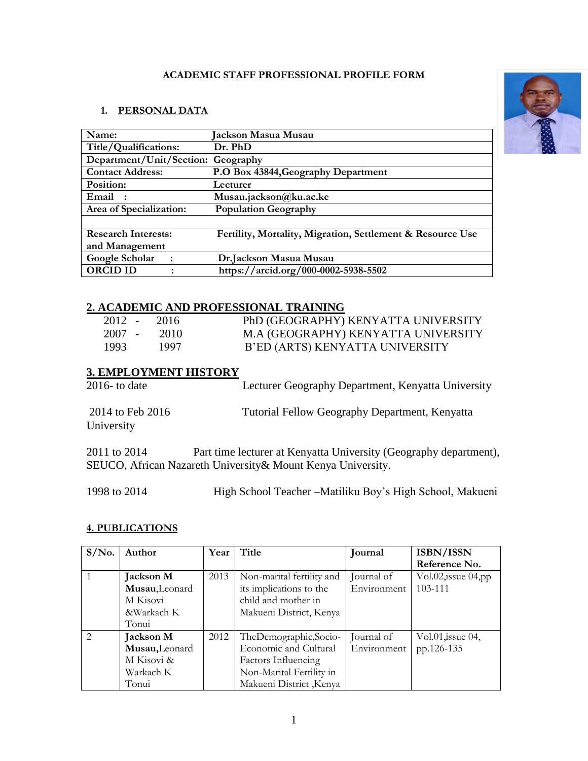### **ACADEMIC STAFF PROFESSIONAL PROFILE FORM**

### **1. PERSONAL DATA**

| Name:                              | Jackson Masua Musau                                        |
|------------------------------------|------------------------------------------------------------|
| Title/Qualifications:              | Dr. PhD                                                    |
| Department/Unit/Section: Geography |                                                            |
| <b>Contact Address:</b>            | P.O Box 43844, Geography Department                        |
| Position:                          | Lecturer                                                   |
| Email                              | Musau.jackson@ku.ac.ke                                     |
| Area of Specialization:            | <b>Population Geography</b>                                |
|                                    |                                                            |
| <b>Research Interests:</b>         | Fertility, Mortality, Migration, Settlement & Resource Use |
| and Management                     |                                                            |
| Google Scholar<br>$\ddot{\cdot}$   | Dr.Jackson Masua Musau                                     |
| <b>ORCID ID</b>                    | https://arcid.org/000-0002-5938-5502                       |

## **2. ACADEMIC AND PROFESSIONAL TRAINING**

| $2012 - 2016$ |      | PhD (GEOGRAPHY) KENYATTA UNIVERSITY |
|---------------|------|-------------------------------------|
| $2007 - 2010$ |      | M.A (GEOGRAPHY) KENYATTA UNIVERSITY |
| 1993.         | 1997 | B'ED (ARTS) KENYATTA UNIVERSITY     |

# **3. EMPLOYMENT HISTORY**

| 2016- to date                  | Lecturer Geography Department, Kenyatta University |
|--------------------------------|----------------------------------------------------|
| 2014 to Feb 2016<br>University | Tutorial Fellow Geography Department, Kenyatta     |
|                                |                                                    |

2011 to 2014 Part time lecturer at Kenyatta University (Geography department), SEUCO, African Nazareth University& Mount Kenya University.

1998 to 2014 High School Teacher –Matiliku Boy's High School, Makueni

#### **4. PUBLICATIONS**

| $S/N0$ .      | Author           | Year | Title                     | Journal     | <b>ISBN/ISSN</b>           |
|---------------|------------------|------|---------------------------|-------------|----------------------------|
|               |                  |      |                           |             | Reference No.              |
|               | Jackson M        | 2013 | Non-marital fertility and | Journal of  | $Vol.02$ , issue $04$ , pp |
|               | Musau, Leonard   |      | its implications to the   | Environment | 103-111                    |
|               | M Kisovi         |      | child and mother in       |             |                            |
|               | &Warkach K       |      | Makueni District, Kenya   |             |                            |
|               | Tonui            |      |                           |             |                            |
| $\mathcal{L}$ | <b>Jackson M</b> | 2012 | TheDemographic,Socio-     | Journal of  | Vol.01, issue 04,          |
|               | Musau, Leonard   |      | Economic and Cultural     | Environment | pp.126-135                 |
|               | M Kisovi &       |      | Factors Influencing       |             |                            |
|               | Warkach K        |      | Non-Marital Fertility in  |             |                            |
|               | Tonui            |      | Makueni District, Kenya   |             |                            |

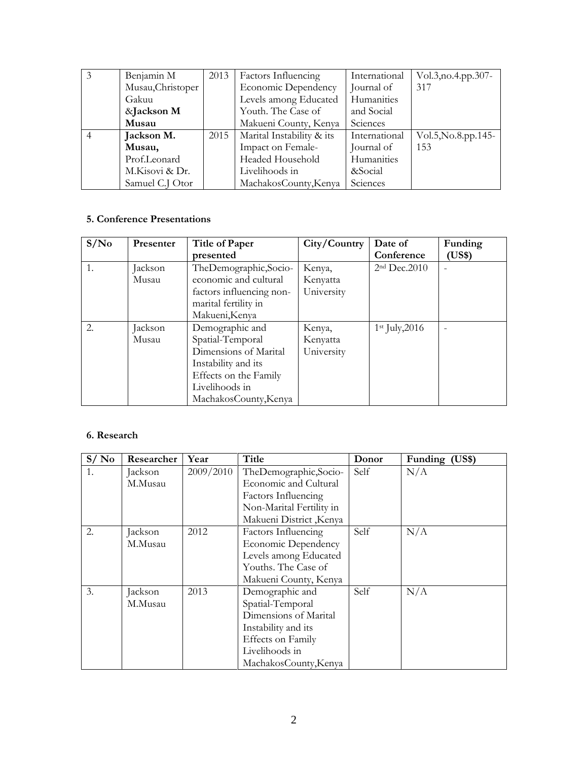| 3 | Benjamin M        | 2013 | Factors Influencing        | International | Vol.3, no.4. pp. 307- |
|---|-------------------|------|----------------------------|---------------|-----------------------|
|   | Musau, Christoper |      | <b>Economic Dependency</b> | Journal of    | 317                   |
|   | Gakuu             |      | Levels among Educated      | Humanities    |                       |
|   | &Jackson M        |      | Youth. The Case of         | and Social    |                       |
|   | Musau             |      | Makueni County, Kenya      | Sciences      |                       |
|   | Jackson M.        | 2015 | Marital Instability & its  | International | Vol.5, No.8.pp.145-   |
|   | Musau,            |      | Impact on Female-          | Journal of    | 153                   |
|   | Prof.Leonard      |      | Headed Household           | Humanities    |                       |
|   | M.Kisovi & Dr.    |      | Livelihoods in             | &Social       |                       |
|   | Samuel C.J Otor   |      | MachakosCounty, Kenya      | Sciences      |                       |

## **5. Conference Presentations**

| S/N <sub>0</sub> | Presenter        | <b>Title of Paper</b><br>presented                                                                                                                      | City/Country                     | Date of<br>Conference | Funding<br>(US\$) |
|------------------|------------------|---------------------------------------------------------------------------------------------------------------------------------------------------------|----------------------------------|-----------------------|-------------------|
| 1.               | Jackson<br>Musau | TheDemographic,Socio-<br>economic and cultural<br>factors influencing non-<br>marital fertility in<br>Makueni, Kenya                                    | Kenya,<br>Kenyatta<br>University | $2nd$ Dec. 2010       |                   |
| 2.               | Jackson<br>Musau | Demographic and<br>Spatial-Temporal<br>Dimensions of Marital<br>Instability and its<br>Effects on the Family<br>Livelihoods in<br>MachakosCounty, Kenya | Kenya,<br>Kenyatta<br>University | $1st$ July, 2016      |                   |

### **6. Research**

| S/N <sub>0</sub> | Researcher | Year      | Title                      | Donor | Funding (US\$) |
|------------------|------------|-----------|----------------------------|-------|----------------|
| 1.               | Jackson    | 2009/2010 | TheDemographic,Socio-      | Self  | N/A            |
|                  | M.Musau    |           | Economic and Cultural      |       |                |
|                  |            |           | Factors Influencing        |       |                |
|                  |            |           | Non-Marital Fertility in   |       |                |
|                  |            |           | Makueni District, Kenya    |       |                |
| 2.               | Jackson    | 2012      | Factors Influencing        | Self  | N/A            |
|                  | M.Musau    |           | <b>Economic Dependency</b> |       |                |
|                  |            |           | Levels among Educated      |       |                |
|                  |            |           | Youths. The Case of        |       |                |
|                  |            |           | Makueni County, Kenya      |       |                |
| 3.               | Jackson    | 2013      | Demographic and            | Self  | N/A            |
|                  | M.Musau    |           | Spatial-Temporal           |       |                |
|                  |            |           | Dimensions of Marital      |       |                |
|                  |            |           | Instability and its        |       |                |
|                  |            |           | Effects on Family          |       |                |
|                  |            |           | Livelihoods in             |       |                |
|                  |            |           | MachakosCounty, Kenya      |       |                |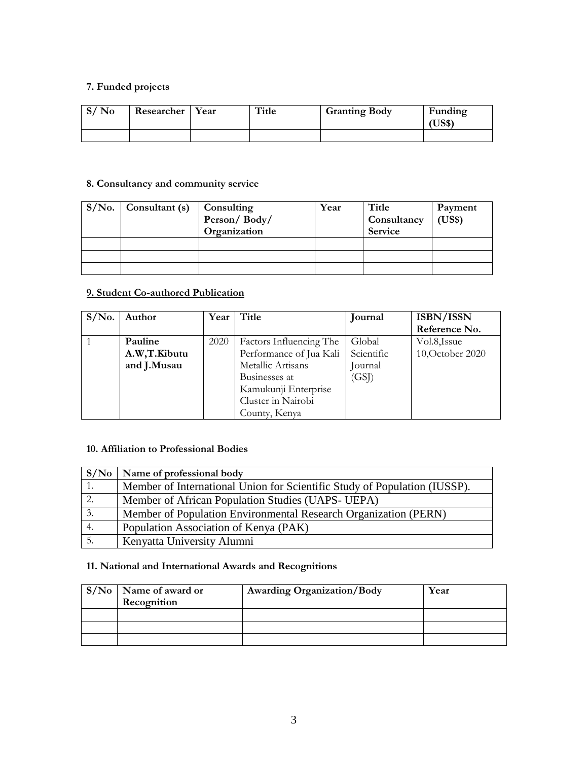## **7. Funded projects**

| $S/N_0$ | <b>Researcher</b> | Year | Title | <b>Granting Body</b> | Funding<br>JS\$ |
|---------|-------------------|------|-------|----------------------|-----------------|
|         |                   |      |       |                      |                 |

## **8. Consultancy and community service**

| $S/No.$ Consultant (s) | Consulting<br>Person/Body/<br>Organization | Year | Title<br>Consultancy<br>Service | Payment<br>(US\$) |
|------------------------|--------------------------------------------|------|---------------------------------|-------------------|
|                        |                                            |      |                                 |                   |
|                        |                                            |      |                                 |                   |
|                        |                                            |      |                                 |                   |

## **9. Student Co-authored Publication**

| $S/N0$ . | Author       | Year | Title                   | Journal    | ISBN/ISSN        |
|----------|--------------|------|-------------------------|------------|------------------|
|          |              |      |                         |            | Reference No.    |
|          | Pauline      | 2020 | Factors Influencing The | Global     | Vol.8, Issue     |
|          | A.W,T.Kibutu |      | Performance of Jua Kali | Scientific | 10, October 2020 |
|          | and J.Musau  |      | Metallic Artisans       | Journal    |                  |
|          |              |      | Businesses at           | (GSJ)      |                  |
|          |              |      | Kamukunji Enterprise    |            |                  |
|          |              |      | Cluster in Nairobi      |            |                  |
|          |              |      | County, Kenya           |            |                  |

## **10. Affiliation to Professional Bodies**

| S/No | Name of professional body                                                 |
|------|---------------------------------------------------------------------------|
|      | Member of International Union for Scientific Study of Population (IUSSP). |
|      | Member of African Population Studies (UAPS- UEPA)                         |
| 3.   | Member of Population Environmental Research Organization (PERN)           |
| 4.   | Population Association of Kenya (PAK)                                     |
|      | Kenyatta University Alumni                                                |

## **11. National and International Awards and Recognitions**

| $S/No$ Name of award or<br>Recognition | <b>Awarding Organization/Body</b> | Year |
|----------------------------------------|-----------------------------------|------|
|                                        |                                   |      |
|                                        |                                   |      |
|                                        |                                   |      |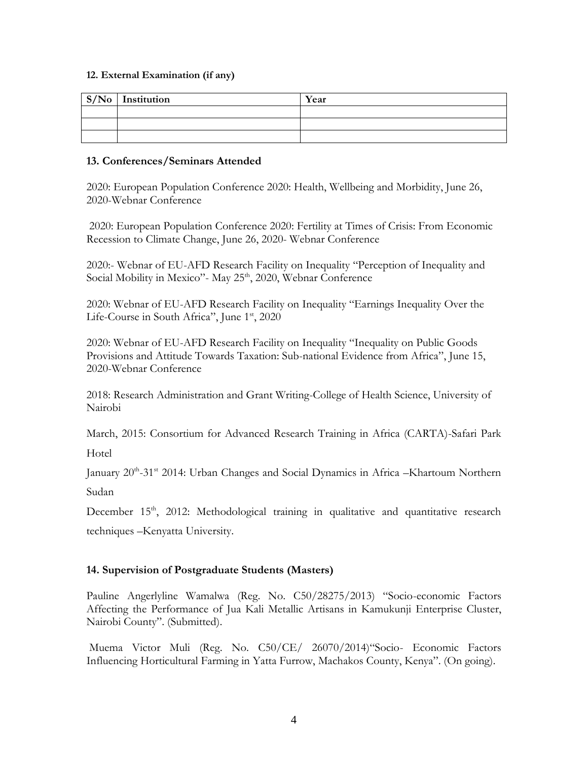#### **12. External Examination (if any)**

| $S/No$ Institution | Year |
|--------------------|------|
|                    |      |
|                    |      |
|                    |      |

#### **13. Conferences/Seminars Attended**

2020: European Population Conference 2020: Health, Wellbeing and Morbidity, June 26, 2020-Webnar Conference

2020: European Population Conference 2020: Fertility at Times of Crisis: From Economic Recession to Climate Change, June 26, 2020- Webnar Conference

2020:- Webnar of EU-AFD Research Facility on Inequality "Perception of Inequality and Social Mobility in Mexico"- May 25<sup>th</sup>, 2020, Webnar Conference

2020: Webnar of EU-AFD Research Facility on Inequality "Earnings Inequality Over the Life-Course in South Africa", June 1st, 2020

2020: Webnar of EU-AFD Research Facility on Inequality "Inequality on Public Goods Provisions and Attitude Towards Taxation: Sub-national Evidence from Africa", June 15, 2020-Webnar Conference

2018: Research Administration and Grant Writing-College of Health Science, University of Nairobi

March, 2015: Consortium for Advanced Research Training in Africa (CARTA)-Safari Park

Hotel

January 20<sup>th</sup>-31<sup>st</sup> 2014: Urban Changes and Social Dynamics in Africa -Khartoum Northern Sudan

December 15<sup>th</sup>, 2012: Methodological training in qualitative and quantitative research techniques –Kenyatta University.

### **14. Supervision of Postgraduate Students (Masters)**

Pauline Angerlyline Wamalwa (Reg. No. C50/28275/2013) "Socio-economic Factors Affecting the Performance of Jua Kali Metallic Artisans in Kamukunji Enterprise Cluster, Nairobi County". (Submitted).

Muema Victor Muli (Reg. No. C50/CE/ 26070/2014)"Socio- Economic Factors Influencing Horticultural Farming in Yatta Furrow, Machakos County, Kenya". (On going).